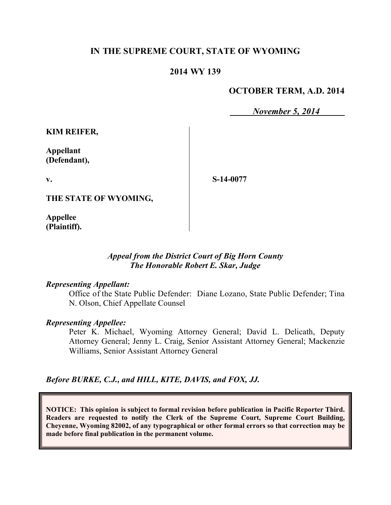# **IN THE SUPREME COURT, STATE OF WYOMING**

# **2014 WY 139**

### **OCTOBER TERM, A.D. 2014**

*November 5, 2014*

**KIM REIFER,**

**Appellant (Defendant),**

**v.**

**S-14-0077**

**THE STATE OF WYOMING,**

**Appellee (Plaintiff).**

### *Appeal from the District Court of Big Horn County The Honorable Robert E. Skar, Judge*

#### *Representing Appellant:*

Office of the State Public Defender: Diane Lozano, State Public Defender; Tina N. Olson, Chief Appellate Counsel

#### *Representing Appellee:*

Peter K. Michael, Wyoming Attorney General; David L. Delicath, Deputy Attorney General; Jenny L. Craig, Senior Assistant Attorney General; Mackenzie Williams, Senior Assistant Attorney General

*Before BURKE, C.J., and HILL, KITE, DAVIS, and FOX, JJ.*

**NOTICE: This opinion is subject to formal revision before publication in Pacific Reporter Third. Readers are requested to notify the Clerk of the Supreme Court, Supreme Court Building, Cheyenne, Wyoming 82002, of any typographical or other formal errors so that correction may be made before final publication in the permanent volume.**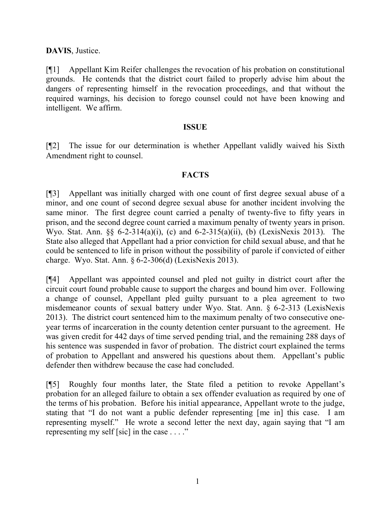**DAVIS**, Justice.

[¶1] Appellant Kim Reifer challenges the revocation of his probation on constitutional grounds. He contends that the district court failed to properly advise him about the dangers of representing himself in the revocation proceedings, and that without the required warnings, his decision to forego counsel could not have been knowing and intelligent. We affirm.

### **ISSUE**

[¶2] The issue for our determination is whether Appellant validly waived his Sixth Amendment right to counsel.

# **FACTS**

[¶3] Appellant was initially charged with one count of first degree sexual abuse of a minor, and one count of second degree sexual abuse for another incident involving the same minor. The first degree count carried a penalty of twenty-five to fifty years in prison, and the second degree count carried a maximum penalty of twenty years in prison. Wyo. Stat. Ann. §§ 6-2-314(a)(i), (c) and 6-2-315(a)(ii), (b) (LexisNexis 2013). The State also alleged that Appellant had a prior conviction for child sexual abuse, and that he could be sentenced to life in prison without the possibility of parole if convicted of either charge. Wyo. Stat. Ann. § 6-2-306(d) (LexisNexis 2013).

[¶4] Appellant was appointed counsel and pled not guilty in district court after the circuit court found probable cause to support the charges and bound him over. Following a change of counsel, Appellant pled guilty pursuant to a plea agreement to two misdemeanor counts of sexual battery under Wyo. Stat. Ann. § 6-2-313 (LexisNexis 2013). The district court sentenced him to the maximum penalty of two consecutive oneyear terms of incarceration in the county detention center pursuant to the agreement. He was given credit for 442 days of time served pending trial, and the remaining 288 days of his sentence was suspended in favor of probation. The district court explained the terms of probation to Appellant and answered his questions about them. Appellant's public defender then withdrew because the case had concluded.

[¶5] Roughly four months later, the State filed a petition to revoke Appellant's probation for an alleged failure to obtain a sex offender evaluation as required by one of the terms of his probation. Before his initial appearance, Appellant wrote to the judge, stating that "I do not want a public defender representing [me in] this case. I am representing myself." He wrote a second letter the next day, again saying that "I am representing my self [sic] in the case . . . ."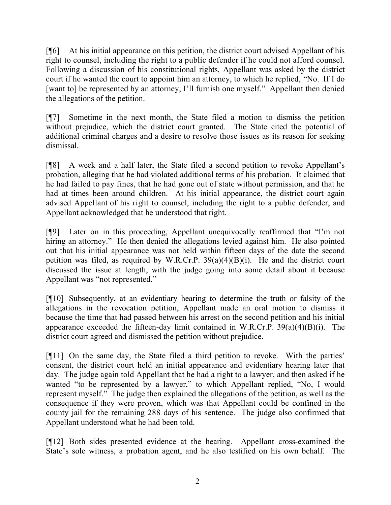[¶6] At his initial appearance on this petition, the district court advised Appellant of his right to counsel, including the right to a public defender if he could not afford counsel. Following a discussion of his constitutional rights, Appellant was asked by the district court if he wanted the court to appoint him an attorney, to which he replied, "No. If I do [want to] be represented by an attorney, I'll furnish one myself." Appellant then denied the allegations of the petition.

[¶7] Sometime in the next month, the State filed a motion to dismiss the petition without prejudice, which the district court granted. The State cited the potential of additional criminal charges and a desire to resolve those issues as its reason for seeking dismissal.

[¶8] A week and a half later, the State filed a second petition to revoke Appellant's probation, alleging that he had violated additional terms of his probation. It claimed that he had failed to pay fines, that he had gone out of state without permission, and that he had at times been around children. At his initial appearance, the district court again advised Appellant of his right to counsel, including the right to a public defender, and Appellant acknowledged that he understood that right.

[¶9] Later on in this proceeding, Appellant unequivocally reaffirmed that "I'm not hiring an attorney." He then denied the allegations levied against him. He also pointed out that his initial appearance was not held within fifteen days of the date the second petition was filed, as required by W.R.Cr.P. 39(a)(4)(B)(i). He and the district court discussed the issue at length, with the judge going into some detail about it because Appellant was "not represented."

[¶10] Subsequently, at an evidentiary hearing to determine the truth or falsity of the allegations in the revocation petition, Appellant made an oral motion to dismiss it because the time that had passed between his arrest on the second petition and his initial appearance exceeded the fifteen-day limit contained in W.R.Cr.P. 39(a)(4)(B)(i). The district court agreed and dismissed the petition without prejudice.

[¶11] On the same day, the State filed a third petition to revoke. With the parties' consent, the district court held an initial appearance and evidentiary hearing later that day. The judge again told Appellant that he had a right to a lawyer, and then asked if he wanted "to be represented by a lawyer," to which Appellant replied, "No, I would represent myself." The judge then explained the allegations of the petition, as well as the consequence if they were proven, which was that Appellant could be confined in the county jail for the remaining 288 days of his sentence. The judge also confirmed that Appellant understood what he had been told.

[¶12] Both sides presented evidence at the hearing. Appellant cross-examined the State's sole witness, a probation agent, and he also testified on his own behalf. The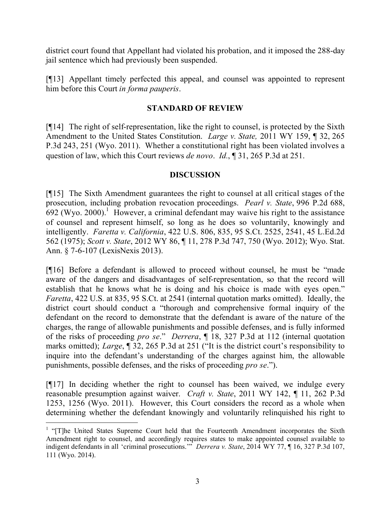district court found that Appellant had violated his probation, and it imposed the 288-day jail sentence which had previously been suspended.

[¶13] Appellant timely perfected this appeal, and counsel was appointed to represent him before this Court *in forma pauperis*.

# **STANDARD OF REVIEW**

[¶14] The right of self-representation, like the right to counsel, is protected by the Sixth Amendment to the United States Constitution. *Large v. State,* 2011 WY 159, ¶ 32, 265 P.3d 243, 251 (Wyo. 2011). Whether a constitutional right has been violated involves a question of law, which this Court reviews *de novo*. *Id.*, ¶ 31, 265 P.3d at 251.

### **DISCUSSION**

[¶15] The Sixth Amendment guarantees the right to counsel at all critical stages of the prosecution, including probation revocation proceedings. *Pearl v. State*, 996 P.2d 688,  $692$  (Wyo. 2000).<sup>1</sup> However, a criminal defendant may waive his right to the assistance of counsel and represent himself, so long as he does so voluntarily, knowingly and intelligently. *Faretta v. California*, 422 U.S. 806, 835, 95 S.Ct. 2525, 2541, 45 L.Ed.2d 562 (1975); *Scott v. State*, 2012 WY 86, ¶ 11, 278 P.3d 747, 750 (Wyo. 2012); Wyo. Stat. Ann. § 7-6-107 (LexisNexis 2013).

[¶16] Before a defendant is allowed to proceed without counsel, he must be "made aware of the dangers and disadvantages of self-representation, so that the record will establish that he knows what he is doing and his choice is made with eyes open." *Faretta*, 422 U.S. at 835, 95 S.Ct. at 2541 (internal quotation marks omitted). Ideally, the district court should conduct a "thorough and comprehensive formal inquiry of the defendant on the record to demonstrate that the defendant is aware of the nature of the charges, the range of allowable punishments and possible defenses, and is fully informed of the risks of proceeding *pro se*." *Derrera*, ¶ 18, 327 P.3d at 112 (internal quotation marks omitted); *Large*, ¶ 32, 265 P.3d at 251 ("It is the district court's responsibility to inquire into the defendant's understanding of the charges against him, the allowable punishments, possible defenses, and the risks of proceeding *pro se*.").

[¶17] In deciding whether the right to counsel has been waived, we indulge every reasonable presumption against waiver. *Craft v. State*, 2011 WY 142, ¶ 11, 262 P.3d 1253, 1256 (Wyo. 2011). However, this Court considers the record as a whole when determining whether the defendant knowingly and voluntarily relinquished his right to

 $\overline{a}$ 

<sup>&</sup>lt;sup>1</sup> "[T]he United States Supreme Court held that the Fourteenth Amendment incorporates the Sixth Amendment right to counsel, and accordingly requires states to make appointed counsel available to indigent defendants in all 'criminal prosecutions.'" *Derrera v. State*, 2014 WY 77, ¶ 16, 327 P.3d 107, 111 (Wyo. 2014).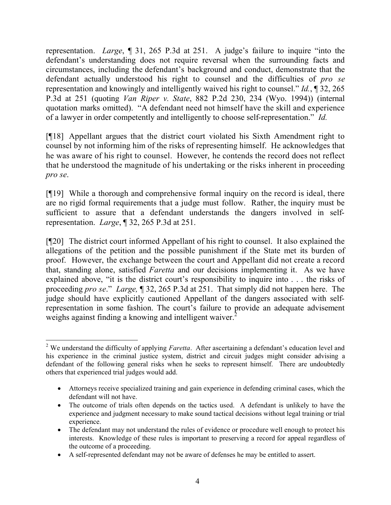representation. *Large*, ¶ 31, 265 P.3d at 251. A judge's failure to inquire "into the defendant's understanding does not require reversal when the surrounding facts and circumstances, including the defendant's background and conduct, demonstrate that the defendant actually understood his right to counsel and the difficulties of *pro se* representation and knowingly and intelligently waived his right to counsel." *Id.*, ¶ 32, 265 P.3d at 251 (quoting *Van Riper v. State*, 882 P.2d 230, 234 (Wyo. 1994)) (internal quotation marks omitted). "A defendant need not himself have the skill and experience of a lawyer in order competently and intelligently to choose self-representation." *Id.*

[¶18] Appellant argues that the district court violated his Sixth Amendment right to counsel by not informing him of the risks of representing himself. He acknowledges that he was aware of his right to counsel. However, he contends the record does not reflect that he understood the magnitude of his undertaking or the risks inherent in proceeding *pro se*.

[¶19] While a thorough and comprehensive formal inquiry on the record is ideal, there are no rigid formal requirements that a judge must follow. Rather, the inquiry must be sufficient to assure that a defendant understands the dangers involved in selfrepresentation. *Large*, ¶ 32, 265 P.3d at 251.

[¶20] The district court informed Appellant of his right to counsel. It also explained the allegations of the petition and the possible punishment if the State met its burden of proof. However, the exchange between the court and Appellant did not create a record that, standing alone, satisfied *Faretta* and our decisions implementing it. As we have explained above, "it is the district court's responsibility to inquire into . . . the risks of proceeding *pro se*." *Large,* ¶ 32, 265 P.3d at 251. That simply did not happen here. The judge should have explicitly cautioned Appellant of the dangers associated with selfrepresentation in some fashion. The court's failure to provide an adequate advisement weighs against finding a knowing and intelligent waiver.<sup>2</sup>

 <sup>2</sup> We understand the difficulty of applying *Faretta*. After ascertaining a defendant's education level and his experience in the criminal justice system, district and circuit judges might consider advising a defendant of the following general risks when he seeks to represent himself. There are undoubtedly others that experienced trial judges would add.

Attorneys receive specialized training and gain experience in defending criminal cases, which the defendant will not have.

The outcome of trials often depends on the tactics used. A defendant is unlikely to have the experience and judgment necessary to make sound tactical decisions without legal training or trial experience.

<sup>•</sup> The defendant may not understand the rules of evidence or procedure well enough to protect his interests. Knowledge of these rules is important to preserving a record for appeal regardless of the outcome of a proceeding.

A self-represented defendant may not be aware of defenses he may be entitled to assert.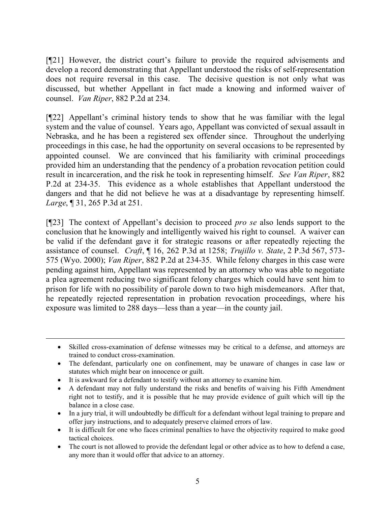[¶21] However, the district court's failure to provide the required advisements and develop a record demonstrating that Appellant understood the risks of self-representation does not require reversal in this case. The decisive question is not only what was discussed, but whether Appellant in fact made a knowing and informed waiver of counsel. *Van Riper*, 882 P.2d at 234.

[¶22] Appellant's criminal history tends to show that he was familiar with the legal system and the value of counsel. Years ago, Appellant was convicted of sexual assault in Nebraska, and he has been a registered sex offender since. Throughout the underlying proceedings in this case, he had the opportunity on several occasions to be represented by appointed counsel. We are convinced that his familiarity with criminal proceedings provided him an understanding that the pendency of a probation revocation petition could result in incarceration, and the risk he took in representing himself. *See Van Riper*, 882 P.2d at 234-35. This evidence as a whole establishes that Appellant understood the dangers and that he did not believe he was at a disadvantage by representing himself. *Large*, ¶ 31, 265 P.3d at 251.

[¶23] The context of Appellant's decision to proceed *pro se* also lends support to the conclusion that he knowingly and intelligently waived his right to counsel. A waiver can be valid if the defendant gave it for strategic reasons or after repeatedly rejecting the assistance of counsel. *Craft*, ¶ 16, 262 P.3d at 1258; *Trujillo v. State*, 2 P.3d 567, 573- 575 (Wyo. 2000); *Van Riper*, 882 P.2d at 234-35. While felony charges in this case were pending against him, Appellant was represented by an attorney who was able to negotiate a plea agreement reducing two significant felony charges which could have sent him to prison for life with no possibility of parole down to two high misdemeanors. After that, he repeatedly rejected representation in probation revocation proceedings, where his exposure was limited to 288 days—less than a year—in the county jail.

It is awkward for a defendant to testify without an attorney to examine him.

 $\overline{a}$ 

- A defendant may not fully understand the risks and benefits of waiving his Fifth Amendment right not to testify, and it is possible that he may provide evidence of guilt which will tip the balance in a close case.
- In a jury trial, it will undoubtedly be difficult for a defendant without legal training to prepare and offer jury instructions, and to adequately preserve claimed errors of law.
- It is difficult for one who faces criminal penalties to have the objectivity required to make good tactical choices.
- The court is not allowed to provide the defendant legal or other advice as to how to defend a case, any more than it would offer that advice to an attorney.

Skilled cross-examination of defense witnesses may be critical to a defense, and attorneys are trained to conduct cross-examination.

The defendant, particularly one on confinement, may be unaware of changes in case law or statutes which might bear on innocence or guilt.